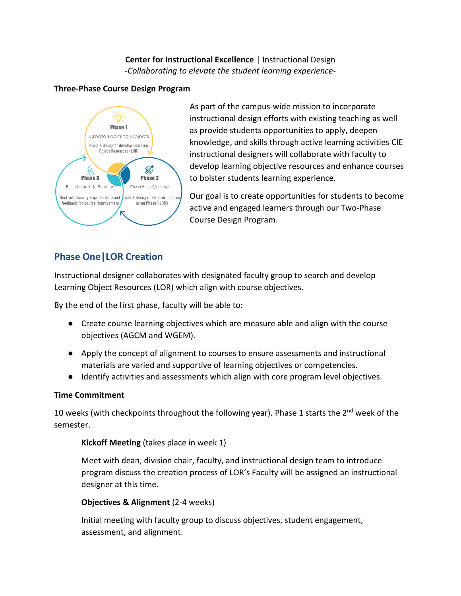### **Center for Instructional Excellence** | Instructional Design *-Collaborating to elevate the student learning experience-*

### **Three-Phase Course Design Program**



As part of the campus-wide mission to incorporate instructional design efforts with existing teaching as well as provide students opportunities to apply, deepen knowledge, and skills through active learning activities CIE instructional designers will collaborate with faculty to develop learning objective resources and enhance courses to bolster students learning experience.

Our goal is to create opportunities for students to become active and engaged learners through our Two-Phase Course Design Program.

# **Phase One|LOR Creation**

Instructional designer collaborates with designated faculty group to search and develop Learning Object Resources (LOR) which align with course objectives.

By the end of the first phase, faculty will be able to:

- Create course learning objectives which are measure able and align with the course objectives (AGCM and WGEM).
- Apply the concept of alignment to courses to ensure assessments and instructional materials are varied and supportive of learning objectives or competencies.
- Identify activities and assessments which align with core program level objectives.

### **Time Commitment**

10 weeks (with checkpoints throughout the following year). Phase 1 starts the  $2^{nd}$  week of the semester.

### **Kickoff Meeting** (takes place in week 1)

Meet with dean, division chair, faculty, and instructional design team to introduce program discuss the creation process of LOR's Faculty will be assigned an instructional designer at this time.

### **Objectives & Alignment** (2-4 weeks)

Initial meeting with faculty group to discuss objectives, student engagement, assessment, and alignment.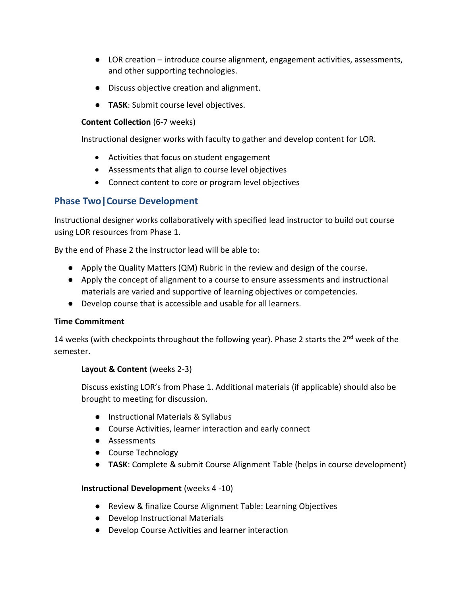- LOR creation introduce course alignment, engagement activities, assessments, and other supporting technologies.
- Discuss objective creation and alignment.
- **TASK**: Submit course level objectives.

### **Content Collection** (6-7 weeks)

Instructional designer works with faculty to gather and develop content for LOR.

- Activities that focus on student engagement
- Assessments that align to course level objectives
- Connect content to core or program level objectives

## **Phase Two|Course Development**

Instructional designer works collaboratively with specified lead instructor to build out course using LOR resources from Phase 1.

By the end of Phase 2 the instructor lead will be able to:

- Apply the Quality Matters (QM) Rubric in the review and design of the course.
- Apply the concept of alignment to a course to ensure assessments and instructional materials are varied and supportive of learning objectives or competencies.
- Develop course that is accessible and usable for all learners.

### **Time Commitment**

14 weeks (with checkpoints throughout the following year). Phase 2 starts the 2<sup>nd</sup> week of the semester.

### **Layout & Content** (weeks 2-3)

Discuss existing LOR's from Phase 1. Additional materials (if applicable) should also be brought to meeting for discussion.

- Instructional Materials & Syllabus
- Course Activities, learner interaction and early connect
- Assessments
- Course Technology
- **TASK**: Complete & submit Course Alignment Table (helps in course development)

### **Instructional Development** (weeks 4 -10)

- Review & finalize Course Alignment Table: Learning Objectives
- Develop Instructional Materials
- Develop Course Activities and learner interaction